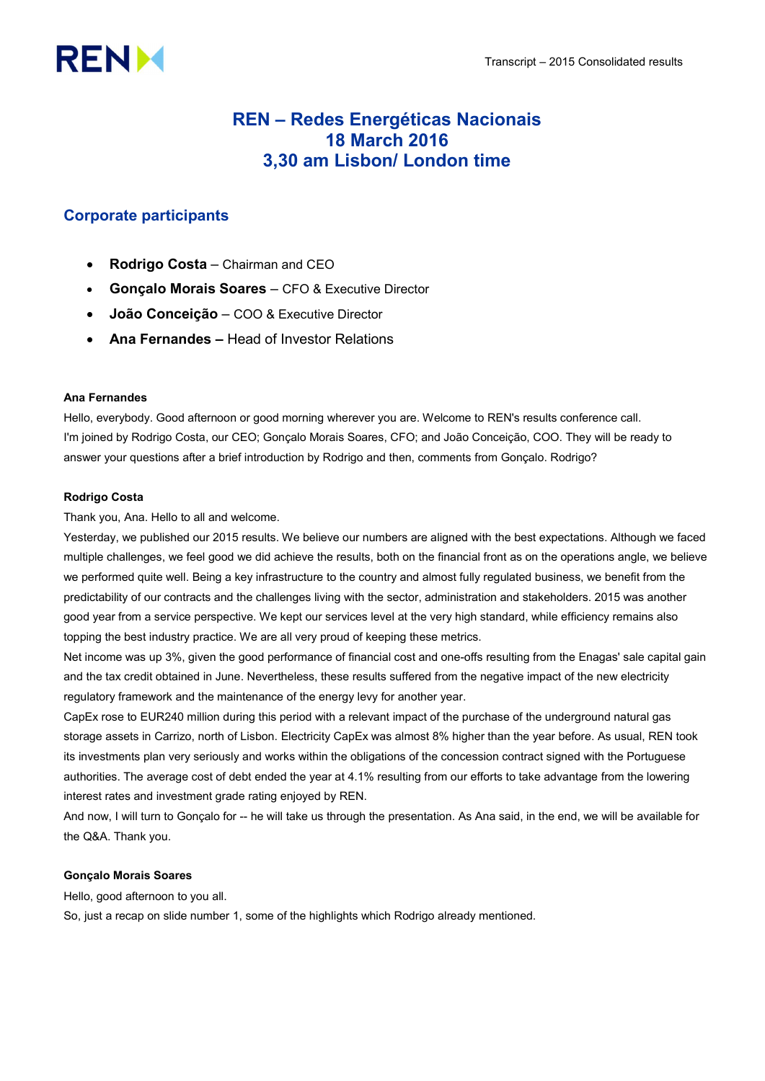# **RENM**

# REN – Redes Energéticas Nacionais 18 March 2016 3,30 am Lisbon/ London time

# Corporate participants

- Rodrigo Costa Chairman and CEO
- Gonçalo Morais Soares CFO & Executive Director
- João Conceição COO & Executive Director
- Ana Fernandes Head of Investor Relations

# Ana Fernandes

Hello, everybody. Good afternoon or good morning wherever you are. Welcome to REN's results conference call. I'm joined by Rodrigo Costa, our CEO; Gonçalo Morais Soares, CFO; and João Conceição, COO. They will be ready to answer your questions after a brief introduction by Rodrigo and then, comments from Gonçalo. Rodrigo?

# Rodrigo Costa

Thank you, Ana. Hello to all and welcome.

Yesterday, we published our 2015 results. We believe our numbers are aligned with the best expectations. Although we faced multiple challenges, we feel good we did achieve the results, both on the financial front as on the operations angle, we believe we performed quite well. Being a key infrastructure to the country and almost fully regulated business, we benefit from the predictability of our contracts and the challenges living with the sector, administration and stakeholders. 2015 was another good year from a service perspective. We kept our services level at the very high standard, while efficiency remains also topping the best industry practice. We are all very proud of keeping these metrics.

Net income was up 3%, given the good performance of financial cost and one-offs resulting from the Enagas' sale capital gain and the tax credit obtained in June. Nevertheless, these results suffered from the negative impact of the new electricity regulatory framework and the maintenance of the energy levy for another year.

CapEx rose to EUR240 million during this period with a relevant impact of the purchase of the underground natural gas storage assets in Carrizo, north of Lisbon. Electricity CapEx was almost 8% higher than the year before. As usual, REN took its investments plan very seriously and works within the obligations of the concession contract signed with the Portuguese authorities. The average cost of debt ended the year at 4.1% resulting from our efforts to take advantage from the lowering interest rates and investment grade rating enjoyed by REN.

And now, I will turn to Gonçalo for -- he will take us through the presentation. As Ana said, in the end, we will be available for the Q&A. Thank you.

# Gonçalo Morais Soares

Hello, good afternoon to you all.

So, just a recap on slide number 1, some of the highlights which Rodrigo already mentioned.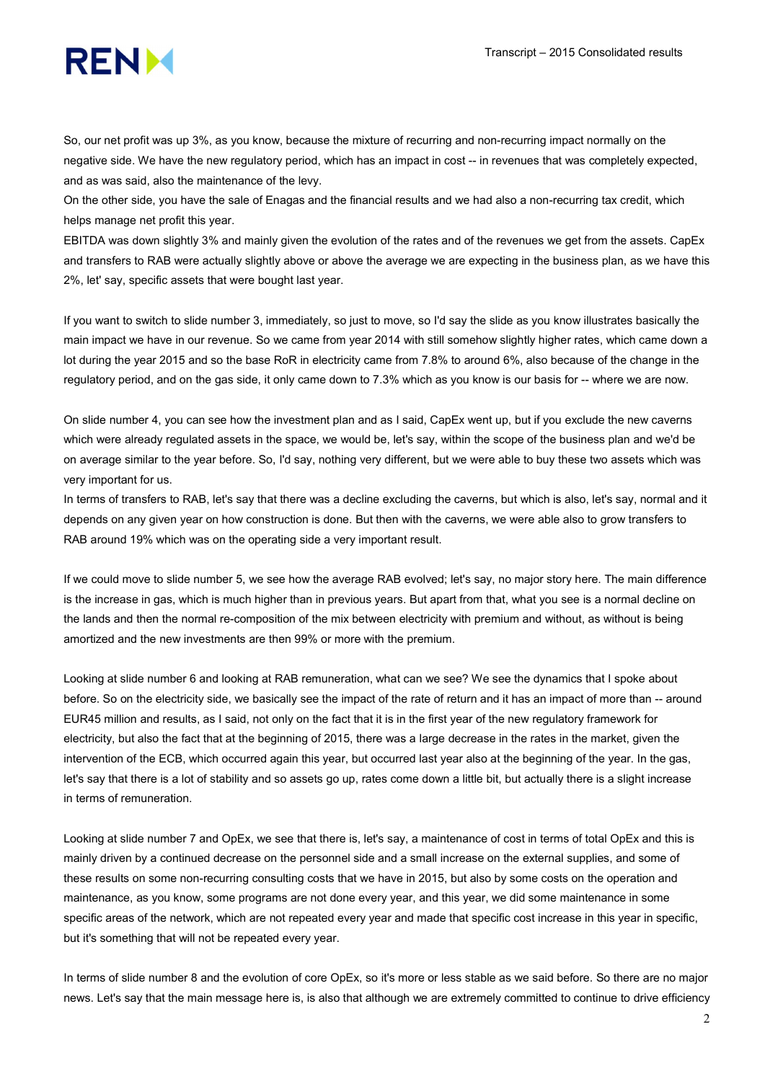

So, our net profit was up 3%, as you know, because the mixture of recurring and non-recurring impact normally on the negative side. We have the new regulatory period, which has an impact in cost -- in revenues that was completely expected, and as was said, also the maintenance of the levy.

On the other side, you have the sale of Enagas and the financial results and we had also a non-recurring tax credit, which helps manage net profit this year.

EBITDA was down slightly 3% and mainly given the evolution of the rates and of the revenues we get from the assets. CapEx and transfers to RAB were actually slightly above or above the average we are expecting in the business plan, as we have this 2%, let' say, specific assets that were bought last year.

If you want to switch to slide number 3, immediately, so just to move, so I'd say the slide as you know illustrates basically the main impact we have in our revenue. So we came from year 2014 with still somehow slightly higher rates, which came down a lot during the year 2015 and so the base RoR in electricity came from 7.8% to around 6%, also because of the change in the regulatory period, and on the gas side, it only came down to 7.3% which as you know is our basis for -- where we are now.

On slide number 4, you can see how the investment plan and as I said, CapEx went up, but if you exclude the new caverns which were already regulated assets in the space, we would be, let's say, within the scope of the business plan and we'd be on average similar to the year before. So, I'd say, nothing very different, but we were able to buy these two assets which was very important for us.

In terms of transfers to RAB, let's say that there was a decline excluding the caverns, but which is also, let's say, normal and it depends on any given year on how construction is done. But then with the caverns, we were able also to grow transfers to RAB around 19% which was on the operating side a very important result.

If we could move to slide number 5, we see how the average RAB evolved; let's say, no major story here. The main difference is the increase in gas, which is much higher than in previous years. But apart from that, what you see is a normal decline on the lands and then the normal re-composition of the mix between electricity with premium and without, as without is being amortized and the new investments are then 99% or more with the premium.

Looking at slide number 6 and looking at RAB remuneration, what can we see? We see the dynamics that I spoke about before. So on the electricity side, we basically see the impact of the rate of return and it has an impact of more than -- around EUR45 million and results, as I said, not only on the fact that it is in the first year of the new regulatory framework for electricity, but also the fact that at the beginning of 2015, there was a large decrease in the rates in the market, given the intervention of the ECB, which occurred again this year, but occurred last year also at the beginning of the year. In the gas, let's say that there is a lot of stability and so assets go up, rates come down a little bit, but actually there is a slight increase in terms of remuneration.

Looking at slide number 7 and OpEx, we see that there is, let's say, a maintenance of cost in terms of total OpEx and this is mainly driven by a continued decrease on the personnel side and a small increase on the external supplies, and some of these results on some non-recurring consulting costs that we have in 2015, but also by some costs on the operation and maintenance, as you know, some programs are not done every year, and this year, we did some maintenance in some specific areas of the network, which are not repeated every year and made that specific cost increase in this year in specific, but it's something that will not be repeated every year.

In terms of slide number 8 and the evolution of core OpEx, so it's more or less stable as we said before. So there are no major news. Let's say that the main message here is, is also that although we are extremely committed to continue to drive efficiency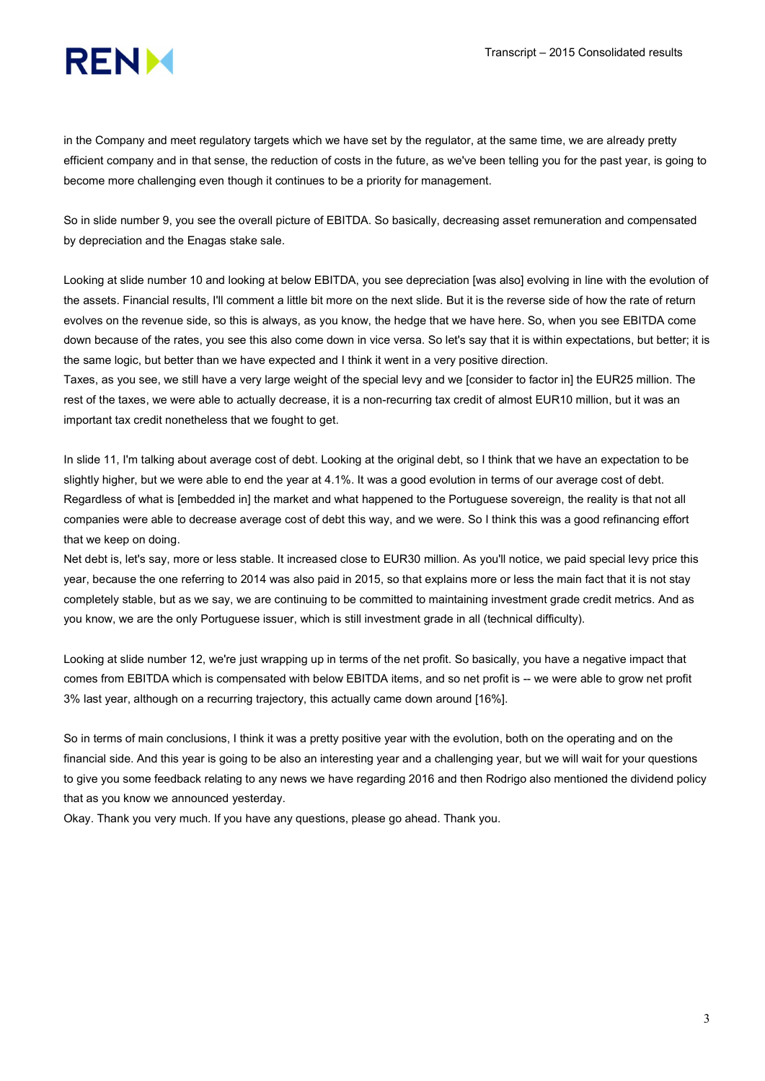

in the Company and meet regulatory targets which we have set by the regulator, at the same time, we are already pretty efficient company and in that sense, the reduction of costs in the future, as we've been telling you for the past year, is going to become more challenging even though it continues to be a priority for management.

So in slide number 9, you see the overall picture of EBITDA. So basically, decreasing asset remuneration and compensated by depreciation and the Enagas stake sale.

Looking at slide number 10 and looking at below EBITDA, you see depreciation [was also] evolving in line with the evolution of the assets. Financial results, I'll comment a little bit more on the next slide. But it is the reverse side of how the rate of return evolves on the revenue side, so this is always, as you know, the hedge that we have here. So, when you see EBITDA come down because of the rates, you see this also come down in vice versa. So let's say that it is within expectations, but better; it is the same logic, but better than we have expected and I think it went in a very positive direction.

Taxes, as you see, we still have a very large weight of the special levy and we [consider to factor in] the EUR25 million. The rest of the taxes, we were able to actually decrease, it is a non-recurring tax credit of almost EUR10 million, but it was an important tax credit nonetheless that we fought to get.

In slide 11, I'm talking about average cost of debt. Looking at the original debt, so I think that we have an expectation to be slightly higher, but we were able to end the year at 4.1%. It was a good evolution in terms of our average cost of debt. Regardless of what is [embedded in] the market and what happened to the Portuguese sovereign, the reality is that not all companies were able to decrease average cost of debt this way, and we were. So I think this was a good refinancing effort that we keep on doing.

Net debt is, let's say, more or less stable. It increased close to EUR30 million. As you'll notice, we paid special levy price this year, because the one referring to 2014 was also paid in 2015, so that explains more or less the main fact that it is not stay completely stable, but as we say, we are continuing to be committed to maintaining investment grade credit metrics. And as you know, we are the only Portuguese issuer, which is still investment grade in all (technical difficulty).

Looking at slide number 12, we're just wrapping up in terms of the net profit. So basically, you have a negative impact that comes from EBITDA which is compensated with below EBITDA items, and so net profit is -- we were able to grow net profit 3% last year, although on a recurring trajectory, this actually came down around [16%].

So in terms of main conclusions, I think it was a pretty positive year with the evolution, both on the operating and on the financial side. And this year is going to be also an interesting year and a challenging year, but we will wait for your questions to give you some feedback relating to any news we have regarding 2016 and then Rodrigo also mentioned the dividend policy that as you know we announced yesterday.

Okay. Thank you very much. If you have any questions, please go ahead. Thank you.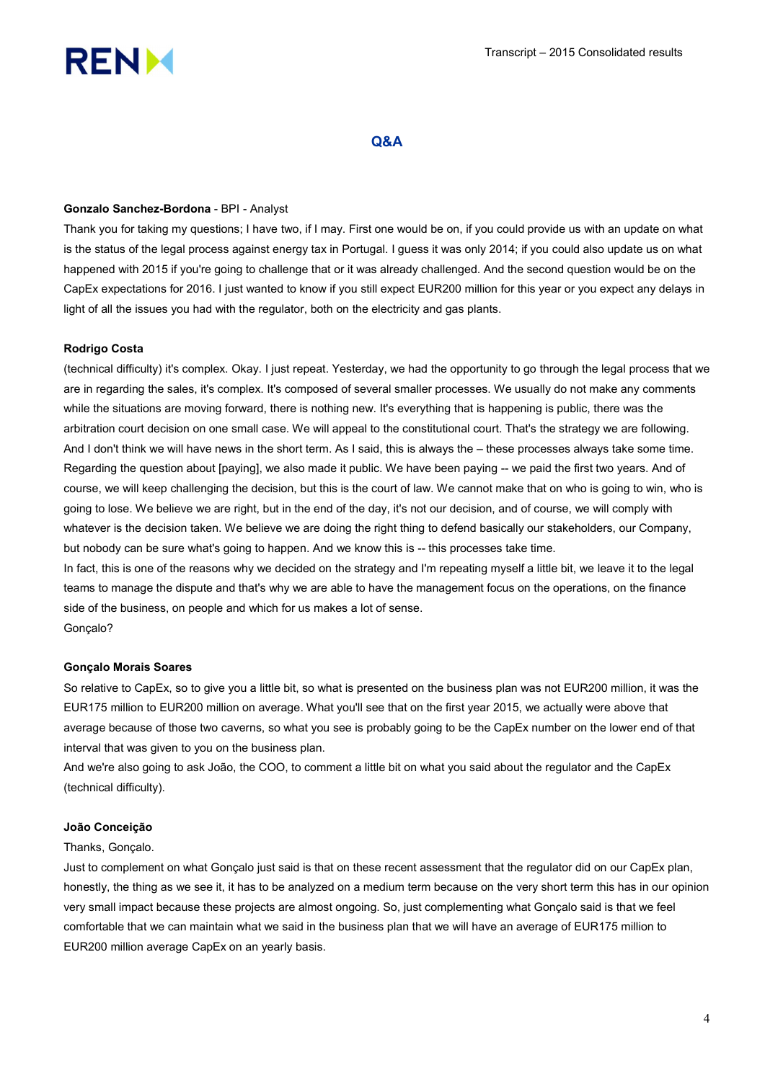

# Q&A

## Gonzalo Sanchez-Bordona - BPI - Analyst

Thank you for taking my questions; I have two, if I may. First one would be on, if you could provide us with an update on what is the status of the legal process against energy tax in Portugal. I guess it was only 2014; if you could also update us on what happened with 2015 if you're going to challenge that or it was already challenged. And the second question would be on the CapEx expectations for 2016. I just wanted to know if you still expect EUR200 million for this year or you expect any delays in light of all the issues you had with the regulator, both on the electricity and gas plants.

## Rodrigo Costa

(technical difficulty) it's complex. Okay. I just repeat. Yesterday, we had the opportunity to go through the legal process that we are in regarding the sales, it's complex. It's composed of several smaller processes. We usually do not make any comments while the situations are moving forward, there is nothing new. It's everything that is happening is public, there was the arbitration court decision on one small case. We will appeal to the constitutional court. That's the strategy we are following. And I don't think we will have news in the short term. As I said, this is always the – these processes always take some time. Regarding the question about [paying], we also made it public. We have been paying -- we paid the first two years. And of course, we will keep challenging the decision, but this is the court of law. We cannot make that on who is going to win, who is going to lose. We believe we are right, but in the end of the day, it's not our decision, and of course, we will comply with whatever is the decision taken. We believe we are doing the right thing to defend basically our stakeholders, our Company, but nobody can be sure what's going to happen. And we know this is -- this processes take time. In fact, this is one of the reasons why we decided on the strategy and I'm repeating myself a little bit, we leave it to the legal teams to manage the dispute and that's why we are able to have the management focus on the operations, on the finance

side of the business, on people and which for us makes a lot of sense. Gonçalo?

#### Gonçalo Morais Soares

So relative to CapEx, so to give you a little bit, so what is presented on the business plan was not EUR200 million, it was the EUR175 million to EUR200 million on average. What you'll see that on the first year 2015, we actually were above that average because of those two caverns, so what you see is probably going to be the CapEx number on the lower end of that interval that was given to you on the business plan.

And we're also going to ask João, the COO, to comment a little bit on what you said about the regulator and the CapEx (technical difficulty).

#### João Conceição

#### Thanks, Gonçalo.

Just to complement on what Gonçalo just said is that on these recent assessment that the regulator did on our CapEx plan, honestly, the thing as we see it, it has to be analyzed on a medium term because on the very short term this has in our opinion very small impact because these projects are almost ongoing. So, just complementing what Gonçalo said is that we feel comfortable that we can maintain what we said in the business plan that we will have an average of EUR175 million to EUR200 million average CapEx on an yearly basis.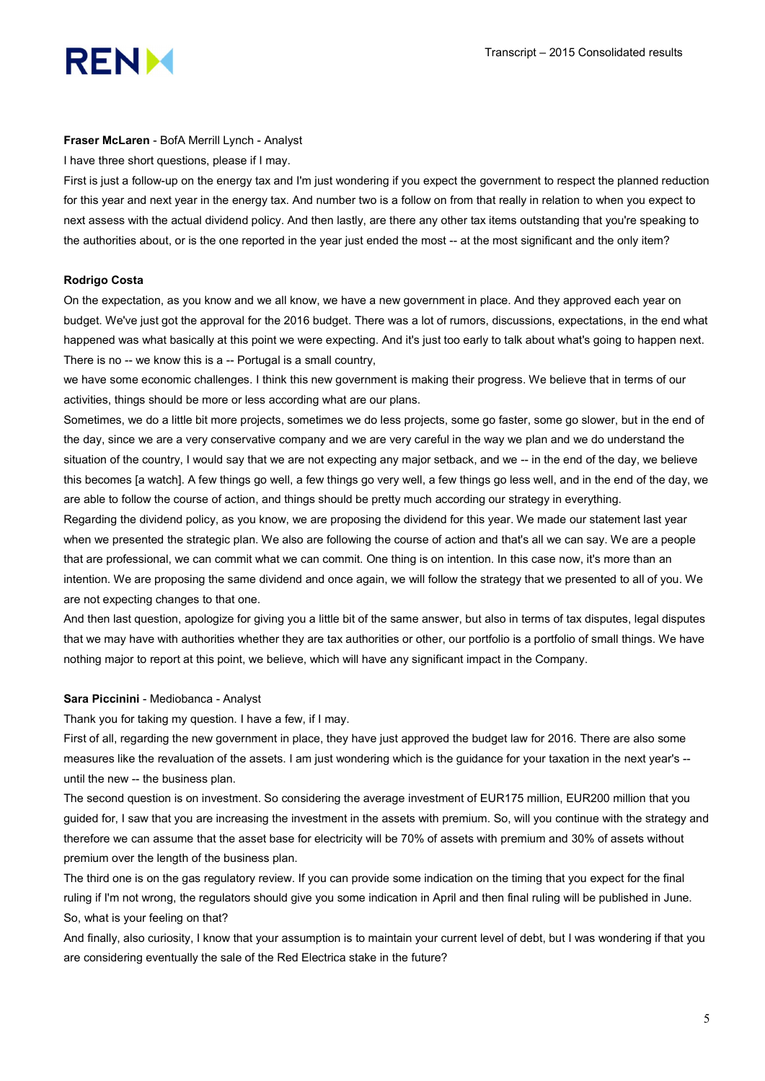

#### Fraser McLaren - BofA Merrill Lynch - Analyst

I have three short questions, please if I may.

First is just a follow-up on the energy tax and I'm just wondering if you expect the government to respect the planned reduction for this year and next year in the energy tax. And number two is a follow on from that really in relation to when you expect to next assess with the actual dividend policy. And then lastly, are there any other tax items outstanding that you're speaking to the authorities about, or is the one reported in the year just ended the most -- at the most significant and the only item?

#### Rodrigo Costa

On the expectation, as you know and we all know, we have a new government in place. And they approved each year on budget. We've just got the approval for the 2016 budget. There was a lot of rumors, discussions, expectations, in the end what happened was what basically at this point we were expecting. And it's just too early to talk about what's going to happen next. There is no -- we know this is a -- Portugal is a small country,

we have some economic challenges. I think this new government is making their progress. We believe that in terms of our activities, things should be more or less according what are our plans.

Sometimes, we do a little bit more projects, sometimes we do less projects, some go faster, some go slower, but in the end of the day, since we are a very conservative company and we are very careful in the way we plan and we do understand the situation of the country, I would say that we are not expecting any major setback, and we -- in the end of the day, we believe this becomes [a watch]. A few things go well, a few things go very well, a few things go less well, and in the end of the day, we are able to follow the course of action, and things should be pretty much according our strategy in everything.

Regarding the dividend policy, as you know, we are proposing the dividend for this year. We made our statement last year when we presented the strategic plan. We also are following the course of action and that's all we can say. We are a people that are professional, we can commit what we can commit. One thing is on intention. In this case now, it's more than an intention. We are proposing the same dividend and once again, we will follow the strategy that we presented to all of you. We are not expecting changes to that one.

And then last question, apologize for giving you a little bit of the same answer, but also in terms of tax disputes, legal disputes that we may have with authorities whether they are tax authorities or other, our portfolio is a portfolio of small things. We have nothing major to report at this point, we believe, which will have any significant impact in the Company.

#### Sara Piccinini - Mediobanca - Analyst

Thank you for taking my question. I have a few, if I may.

First of all, regarding the new government in place, they have just approved the budget law for 2016. There are also some measures like the revaluation of the assets. I am just wondering which is the guidance for your taxation in the next year's - until the new -- the business plan.

The second question is on investment. So considering the average investment of EUR175 million, EUR200 million that you guided for, I saw that you are increasing the investment in the assets with premium. So, will you continue with the strategy and therefore we can assume that the asset base for electricity will be 70% of assets with premium and 30% of assets without premium over the length of the business plan.

The third one is on the gas regulatory review. If you can provide some indication on the timing that you expect for the final ruling if I'm not wrong, the regulators should give you some indication in April and then final ruling will be published in June. So, what is your feeling on that?

And finally, also curiosity, I know that your assumption is to maintain your current level of debt, but I was wondering if that you are considering eventually the sale of the Red Electrica stake in the future?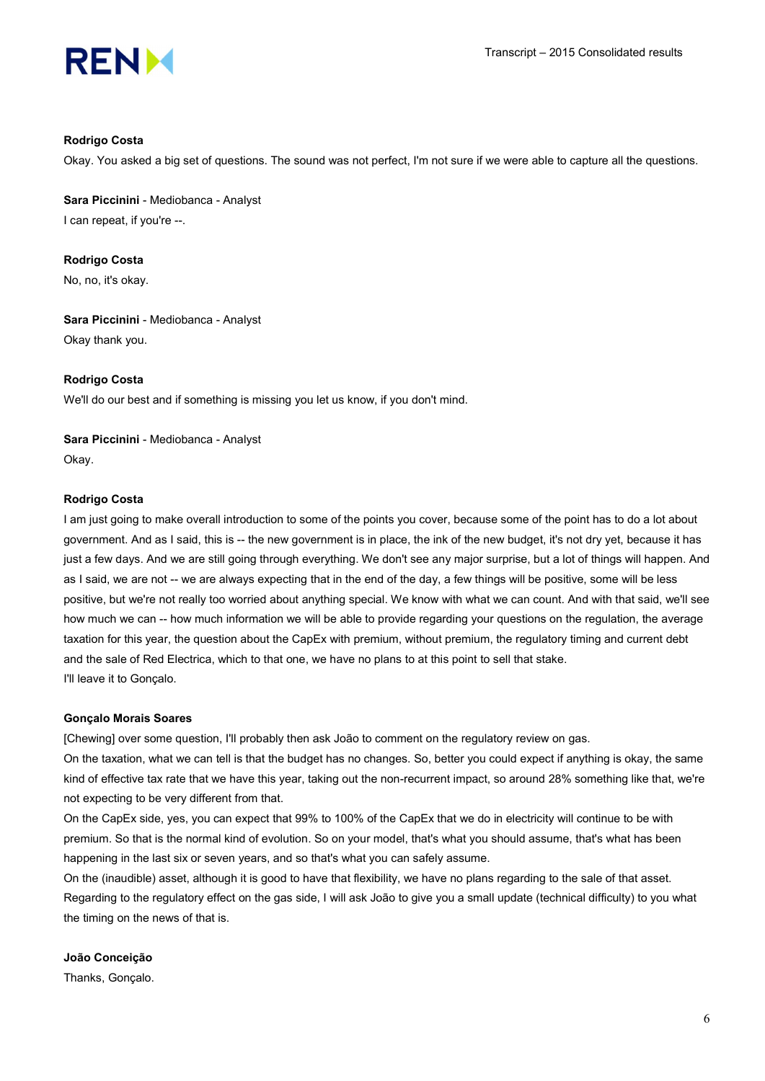

#### Rodrigo Costa

Okay. You asked a big set of questions. The sound was not perfect, I'm not sure if we were able to capture all the questions.

Sara Piccinini - Mediobanca - Analyst I can repeat, if you're --.

Rodrigo Costa No, no, it's okay.

Sara Piccinini - Mediobanca - Analyst Okay thank you.

#### Rodrigo Costa

We'll do our best and if something is missing you let us know, if you don't mind.

Sara Piccinini - Mediobanca - Analyst Okay.

#### Rodrigo Costa

I am just going to make overall introduction to some of the points you cover, because some of the point has to do a lot about government. And as I said, this is -- the new government is in place, the ink of the new budget, it's not dry yet, because it has just a few days. And we are still going through everything. We don't see any major surprise, but a lot of things will happen. And as I said, we are not -- we are always expecting that in the end of the day, a few things will be positive, some will be less positive, but we're not really too worried about anything special. We know with what we can count. And with that said, we'll see how much we can -- how much information we will be able to provide regarding your questions on the regulation, the average taxation for this year, the question about the CapEx with premium, without premium, the regulatory timing and current debt and the sale of Red Electrica, which to that one, we have no plans to at this point to sell that stake. I'll leave it to Gonçalo.

#### Gonçalo Morais Soares

[Chewing] over some question, I'll probably then ask João to comment on the regulatory review on gas.

On the taxation, what we can tell is that the budget has no changes. So, better you could expect if anything is okay, the same kind of effective tax rate that we have this year, taking out the non-recurrent impact, so around 28% something like that, we're not expecting to be very different from that.

On the CapEx side, yes, you can expect that 99% to 100% of the CapEx that we do in electricity will continue to be with premium. So that is the normal kind of evolution. So on your model, that's what you should assume, that's what has been happening in the last six or seven years, and so that's what you can safely assume.

On the (inaudible) asset, although it is good to have that flexibility, we have no plans regarding to the sale of that asset. Regarding to the regulatory effect on the gas side, I will ask João to give you a small update (technical difficulty) to you what the timing on the news of that is.

#### João Conceição

Thanks, Gonçalo.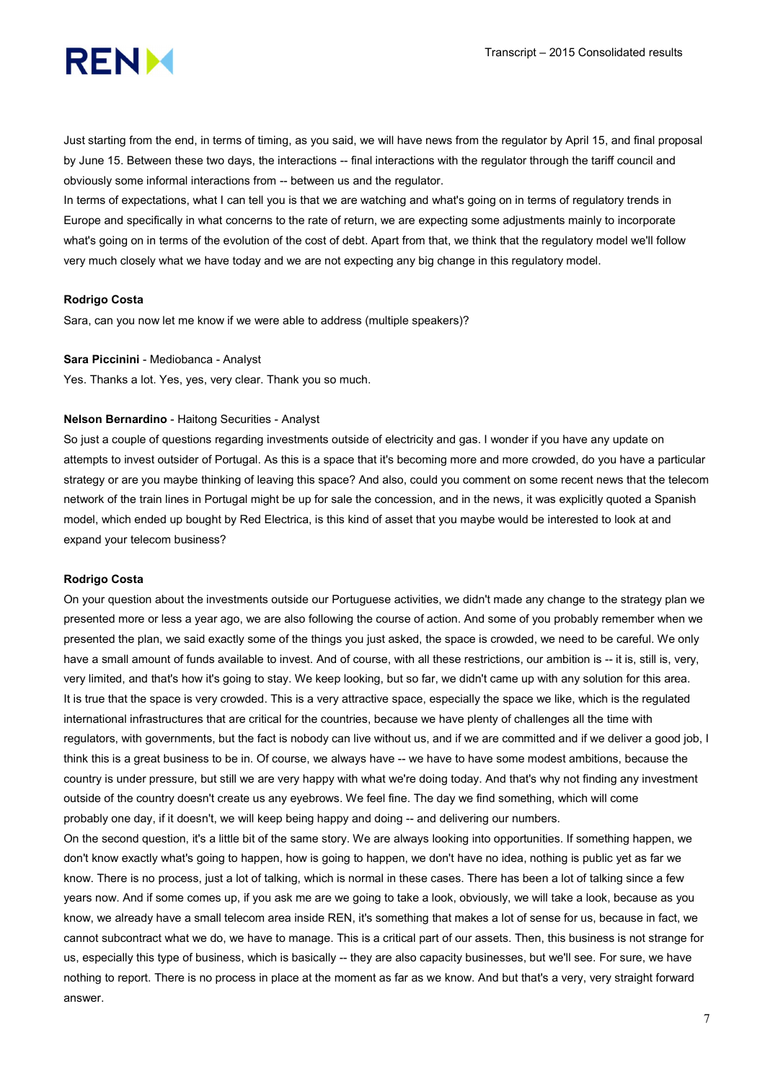

Just starting from the end, in terms of timing, as you said, we will have news from the regulator by April 15, and final proposal by June 15. Between these two days, the interactions -- final interactions with the regulator through the tariff council and obviously some informal interactions from -- between us and the regulator.

In terms of expectations, what I can tell you is that we are watching and what's going on in terms of regulatory trends in Europe and specifically in what concerns to the rate of return, we are expecting some adjustments mainly to incorporate what's going on in terms of the evolution of the cost of debt. Apart from that, we think that the regulatory model we'll follow very much closely what we have today and we are not expecting any big change in this regulatory model.

#### Rodrigo Costa

Sara, can you now let me know if we were able to address (multiple speakers)?

#### Sara Piccinini - Mediobanca - Analyst

Yes. Thanks a lot. Yes, yes, very clear. Thank you so much.

## Nelson Bernardino - Haitong Securities - Analyst

So just a couple of questions regarding investments outside of electricity and gas. I wonder if you have any update on attempts to invest outsider of Portugal. As this is a space that it's becoming more and more crowded, do you have a particular strategy or are you maybe thinking of leaving this space? And also, could you comment on some recent news that the telecom network of the train lines in Portugal might be up for sale the concession, and in the news, it was explicitly quoted a Spanish model, which ended up bought by Red Electrica, is this kind of asset that you maybe would be interested to look at and expand your telecom business?

#### Rodrigo Costa

On your question about the investments outside our Portuguese activities, we didn't made any change to the strategy plan we presented more or less a year ago, we are also following the course of action. And some of you probably remember when we presented the plan, we said exactly some of the things you just asked, the space is crowded, we need to be careful. We only have a small amount of funds available to invest. And of course, with all these restrictions, our ambition is -- it is, still is, very, very limited, and that's how it's going to stay. We keep looking, but so far, we didn't came up with any solution for this area. It is true that the space is very crowded. This is a very attractive space, especially the space we like, which is the regulated international infrastructures that are critical for the countries, because we have plenty of challenges all the time with regulators, with governments, but the fact is nobody can live without us, and if we are committed and if we deliver a good job, I think this is a great business to be in. Of course, we always have -- we have to have some modest ambitions, because the country is under pressure, but still we are very happy with what we're doing today. And that's why not finding any investment outside of the country doesn't create us any eyebrows. We feel fine. The day we find something, which will come probably one day, if it doesn't, we will keep being happy and doing -- and delivering our numbers.

On the second question, it's a little bit of the same story. We are always looking into opportunities. If something happen, we don't know exactly what's going to happen, how is going to happen, we don't have no idea, nothing is public yet as far we know. There is no process, just a lot of talking, which is normal in these cases. There has been a lot of talking since a few years now. And if some comes up, if you ask me are we going to take a look, obviously, we will take a look, because as you know, we already have a small telecom area inside REN, it's something that makes a lot of sense for us, because in fact, we cannot subcontract what we do, we have to manage. This is a critical part of our assets. Then, this business is not strange for us, especially this type of business, which is basically -- they are also capacity businesses, but we'll see. For sure, we have nothing to report. There is no process in place at the moment as far as we know. And but that's a very, very straight forward answer.